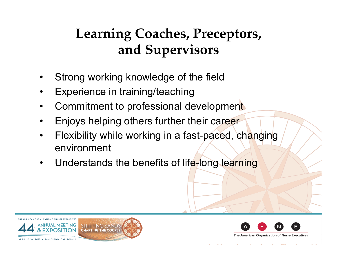## **Learning Coaches, Preceptors, and Supervisors**

- Strong working knowledge of the field
- Experience in training/teaching
- Commitment to professional development
- Enjoys helping others further their career
- Flexibility while working in a fast-paced, changing environment
- Understands the benefits of life-long learning



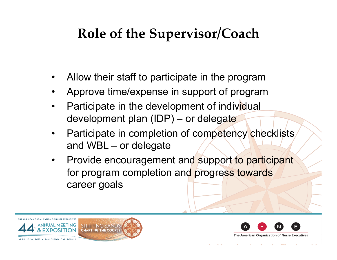## **Role of the Supervisor/Coach**

- Allow their staff to participate in the program
- Approve time/expense in support of program
- Participate in the development of individual development plan (IDP) – or delegate
- Participate in completion of competency checklists and WBL – or delegate
- Provide encouragement and support to participant for program completion and progress towards career goals



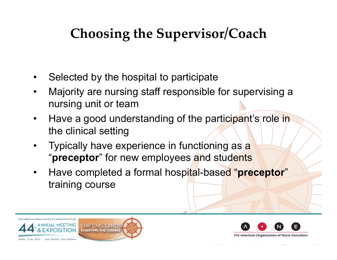# **Choosing the Supervisor/Coach**

- Selected by the hospital to participate
- Majority are nursing staff responsible for supervising a nursing unit or team
- Have a good understanding of the participant's role in the clinical setting
- Typically have experience in functioning as a "**preceptor**" for new employees and students
- Have completed a formal hospital-based "**preceptor**" training course



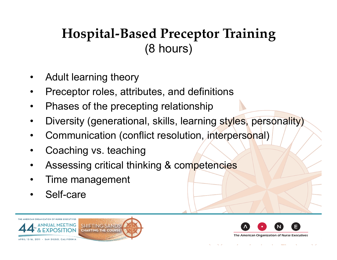### **Hospital-Based Preceptor Training** (8 hours)

- Adult learning theory
- Preceptor roles, attributes, and definitions
- Phases of the precepting relationship
- Diversity (generational, skills, learning styles, personality)
- Communication (conflict resolution, interpersonal)
- Coaching vs. teaching
- Assessing critical thinking & competencies
- Time management
- Self-care



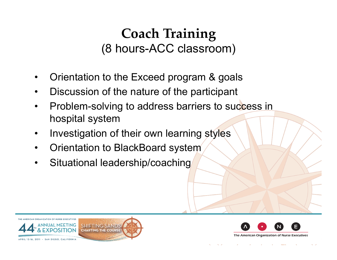#### **Coach Training** (8 hours-ACC classroom)

- Orientation to the Exceed program & goals
- Discussion of the nature of the participant
- Problem-solving to address barriers to success in hospital system
- Investigation of their own learning styles
- Orientation to BlackBoard system
- Situational leadership/coaching





The American Organization of Nurse Executives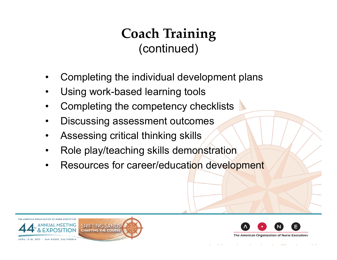## **Coach Training** (continued)

- Completing the individual development plans
- Using work-based learning tools
- Completing the competency checklists
- Discussing assessment outcomes
- Assessing critical thinking skills
- Role play/teaching skills demonstration
- Resources for career/education development





The American Organization of Nurse Executives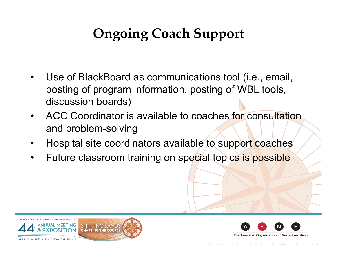# **Ongoing Coach Support**

- Use of BlackBoard as communications tool (i.e., email, posting of program information, posting of WBL tools, discussion boards)
- ACC Coordinator is available to coaches for consultation and problem-solving
- Hospital site coordinators available to support coaches
- Future classroom training on special topics is possible